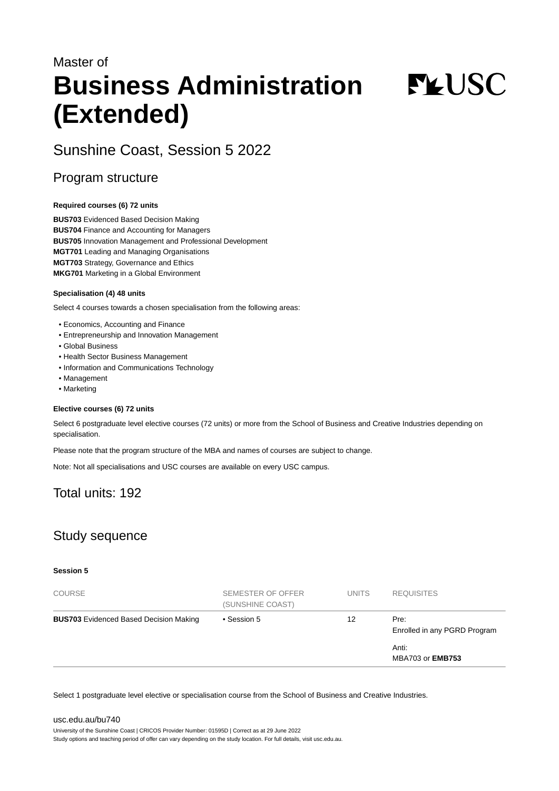# Master of **Business Administration (Extended)**

**FYUSC** 

# Sunshine Coast, Session 5 2022

## Program structure

#### **Required courses (6) 72 units**

**BUS703** Evidenced Based Decision Making **BUS704** Finance and Accounting for Managers **BUS705** Innovation Management and Professional Development **MGT701** Leading and Managing Organisations **MGT703** Strategy, Governance and Ethics **MKG701** Marketing in a Global Environment

#### **Specialisation (4) 48 units**

Select 4 courses towards a chosen specialisation from the following areas:

- Economics, Accounting and Finance
- Entrepreneurship and Innovation Management
- Global Business
- Health Sector Business Management
- Information and Communications Technology
- Management
- Marketing

#### **Elective courses (6) 72 units**

Select 6 postgraduate level elective courses (72 units) or more from the School of Business and Creative Industries depending on specialisation.

Please note that the program structure of the MBA and names of courses are subject to change.

Note: Not all specialisations and USC courses are available on every USC campus.

# Total units: 192

# Study sequence

#### **Session 5**

| <b>COURSE</b>                                 | SEMESTER OF OFFER<br>(SUNSHINE COAST) | <b>UNITS</b> | <b>REQUISITES</b>                    |
|-----------------------------------------------|---------------------------------------|--------------|--------------------------------------|
| <b>BUS703</b> Evidenced Based Decision Making | • Session 5                           | 12           | Pre:<br>Enrolled in any PGRD Program |
|                                               |                                       |              | Anti:<br><b>MBA703 or EMB753</b>     |

Select 1 postgraduate level elective or specialisation course from the School of Business and Creative Industries.

#### [usc.edu.au/bu740](https://www.usc.edu.au/bu740) University of the Sunshine Coast | CRICOS Provider Number: 01595D | Correct as at 29 June 2022 Study options and teaching period of offer can vary depending on the study location. For full details, visit usc.edu.au.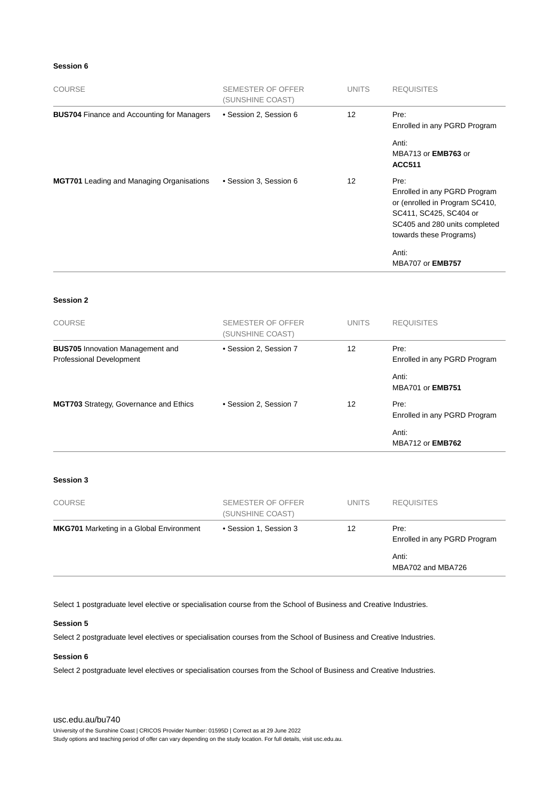#### **Session 6**

| <b>COURSE</b>                                     | SEMESTER OF OFFER<br>(SUNSHINE COAST) | <b>UNITS</b>      | <b>REQUISITES</b>                                                                                                                                            |
|---------------------------------------------------|---------------------------------------|-------------------|--------------------------------------------------------------------------------------------------------------------------------------------------------------|
| <b>BUS704 Finance and Accounting for Managers</b> | • Session 2, Session 6                | $12 \overline{ }$ | Pre:<br>Enrolled in any PGRD Program                                                                                                                         |
|                                                   |                                       |                   | Anti:<br>MBA713 or <b>EMB763</b> or<br><b>ACC511</b>                                                                                                         |
| <b>MGT701</b> Leading and Managing Organisations  | • Session 3, Session 6                | $12 \overline{ }$ | Pre:<br>Enrolled in any PGRD Program<br>or (enrolled in Program SC410,<br>SC411, SC425, SC404 or<br>SC405 and 280 units completed<br>towards these Programs) |
|                                                   |                                       |                   | Anti:<br><b>MBA707 or EMB757</b>                                                                                                                             |

#### **Session 2**

| <b>COURSE</b>                                                       | SEMESTER OF OFFER<br>(SUNSHINE COAST) | <b>UNITS</b> | <b>REQUISITES</b>                    |
|---------------------------------------------------------------------|---------------------------------------|--------------|--------------------------------------|
| <b>BUS705</b> Innovation Management and<br>Professional Development | • Session 2, Session 7                | 12           | Pre:<br>Enrolled in any PGRD Program |
|                                                                     |                                       |              | Anti:<br><b>MBA701 or EMB751</b>     |
| MGT703 Strategy, Governance and Ethics                              | • Session 2. Session 7                | 12           | Pre:<br>Enrolled in any PGRD Program |
|                                                                     |                                       |              | Anti:<br><b>MBA712 or EMB762</b>     |

#### **Session 3**

| <b>COURSE</b>                                   | SEMESTER OF OFFER<br>(SUNSHINE COAST) | <b>UNITS</b> | <b>REQUISITES</b>                    |
|-------------------------------------------------|---------------------------------------|--------------|--------------------------------------|
| <b>MKG701</b> Marketing in a Global Environment | • Session 1, Session 3                | 12           | Pre:<br>Enrolled in any PGRD Program |
|                                                 |                                       |              | Anti:<br>MBA702 and MBA726           |

Select 1 postgraduate level elective or specialisation course from the School of Business and Creative Industries.

#### **Session 5**

Select 2 postgraduate level electives or specialisation courses from the School of Business and Creative Industries.

#### **Session 6**

Select 2 postgraduate level electives or specialisation courses from the School of Business and Creative Industries.

#### [usc.edu.au/bu740](https://www.usc.edu.au/bu740)

University of the Sunshine Coast | CRICOS Provider Number: 01595D | Correct as at 29 June 2022

Study options and teaching period of offer can vary depending on the study location. For full details, visit usc.edu.au.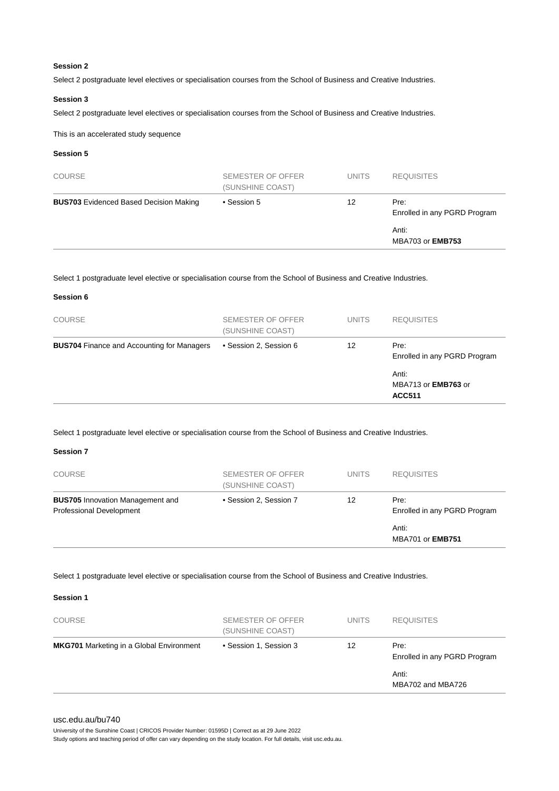#### **Session 2**

Select 2 postgraduate level electives or specialisation courses from the School of Business and Creative Industries.

#### **Session 3**

Select 2 postgraduate level electives or specialisation courses from the School of Business and Creative Industries.

This is an accelerated study sequence

#### **Session 5**

**Session 6**

| <b>COURSE</b>                                 | SEMESTER OF OFFER<br>(SUNSHINE COAST) | <b>UNITS</b> | <b>REQUISITES</b>                    |
|-----------------------------------------------|---------------------------------------|--------------|--------------------------------------|
| <b>BUS703</b> Evidenced Based Decision Making | • Session 5                           | 12           | Pre:<br>Enrolled in any PGRD Program |
|                                               |                                       |              | Anti:<br><b>MBA703 or EMB753</b>     |

Select 1 postgraduate level elective or specialisation course from the School of Business and Creative Industries.

|                                                   |                                       |              | Anti:<br>MBA713 or <b>EMB763</b> or<br><b>ACC511</b> |
|---------------------------------------------------|---------------------------------------|--------------|------------------------------------------------------|
| <b>BUS704</b> Finance and Accounting for Managers | • Session 2, Session 6                | 12           | Pre:<br>Enrolled in any PGRD Program                 |
| <b>COURSE</b>                                     | SEMESTER OF OFFER<br>(SUNSHINE COAST) | <b>UNITS</b> | <b>REQUISITES</b>                                    |
|                                                   |                                       |              |                                                      |

Select 1 postgraduate level elective or specialisation course from the School of Business and Creative Industries.

#### **Session 7**

| <b>COURSE</b>                                                       | SEMESTER OF OFFER<br>(SUNSHINE COAST) | <b>UNITS</b> | <b>REQUISITES</b>                    |
|---------------------------------------------------------------------|---------------------------------------|--------------|--------------------------------------|
| <b>BUS705</b> Innovation Management and<br>Professional Development | • Session 2, Session 7                | 12           | Pre:<br>Enrolled in any PGRD Program |
|                                                                     |                                       |              | Anti:<br><b>MBA701 or EMB751</b>     |

Select 1 postgraduate level elective or specialisation course from the School of Business and Creative Industries.

**Session 1**

| <b>COURSE</b>                                   | SEMESTER OF OFFER<br>(SUNSHINE COAST) | <b>UNITS</b> | <b>REQUISITES</b>                    |
|-------------------------------------------------|---------------------------------------|--------------|--------------------------------------|
| <b>MKG701</b> Marketing in a Global Environment | • Session 1, Session 3                | 12           | Pre:<br>Enrolled in any PGRD Program |
|                                                 |                                       |              | Anti:<br>MBA702 and MBA726           |

#### [usc.edu.au/bu740](https://www.usc.edu.au/bu740)

University of the Sunshine Coast | CRICOS Provider Number: 01595D | Correct as at 29 June 2022

Study options and teaching period of offer can vary depending on the study location. For full details, visit usc.edu.au.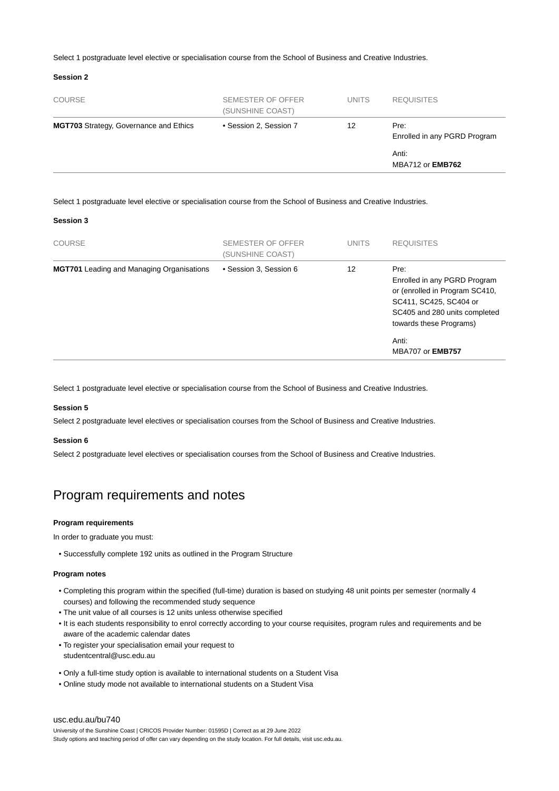Select 1 postgraduate level elective or specialisation course from the School of Business and Creative Industries.

#### **Session 2**

| <b>COURSE</b>                                 | SEMESTER OF OFFER<br>(SUNSHINE COAST) | <b>UNITS</b> | <b>REQUISITES</b>                    |
|-----------------------------------------------|---------------------------------------|--------------|--------------------------------------|
| <b>MGT703</b> Strategy, Governance and Ethics | • Session 2, Session 7                | 12           | Pre:<br>Enrolled in any PGRD Program |
|                                               |                                       |              | Anti:<br><b>MBA712 or EMB762</b>     |

Select 1 postgraduate level elective or specialisation course from the School of Business and Creative Industries.

#### **Session 3**

| <b>COURSE</b>                                    | SEMESTER OF OFFER<br>(SUNSHINE COAST) | <b>UNITS</b> | <b>REQUISITES</b>                                                                                                                                            |
|--------------------------------------------------|---------------------------------------|--------------|--------------------------------------------------------------------------------------------------------------------------------------------------------------|
| <b>MGT701</b> Leading and Managing Organisations | • Session 3, Session 6                | 12           | Pre:<br>Enrolled in any PGRD Program<br>or (enrolled in Program SC410,<br>SC411, SC425, SC404 or<br>SC405 and 280 units completed<br>towards these Programs) |
|                                                  |                                       |              | Anti:<br><b>MBA707 or EMB757</b>                                                                                                                             |

Select 1 postgraduate level elective or specialisation course from the School of Business and Creative Industries.

#### **Session 5**

Select 2 postgraduate level electives or specialisation courses from the School of Business and Creative Industries.

#### **Session 6**

Select 2 postgraduate level electives or specialisation courses from the School of Business and Creative Industries.

### Program requirements and notes

#### **Program requirements**

In order to graduate you must:

• Successfully complete 192 units as outlined in the Program Structure

#### **Program notes**

- Completing this program within the specified (full-time) duration is based on studying 48 unit points per semester (normally 4 courses) and following the recommended study sequence
- The unit value of all courses is 12 units unless otherwise specified
- It is each students responsibility to enrol correctly according to your course requisites, program rules and requirements and be aware of the academic calendar dates
- To register your specialisation email your request to studentcentral@usc.edu.au
- Only a full-time study option is available to international students on a Student Visa
- Online study mode not available to international students on a Student Visa

#### [usc.edu.au/bu740](https://www.usc.edu.au/bu740)

University of the Sunshine Coast | CRICOS Provider Number: 01595D | Correct as at 29 June 2022 Study options and teaching period of offer can vary depending on the study location. For full details, visit usc.edu.au.